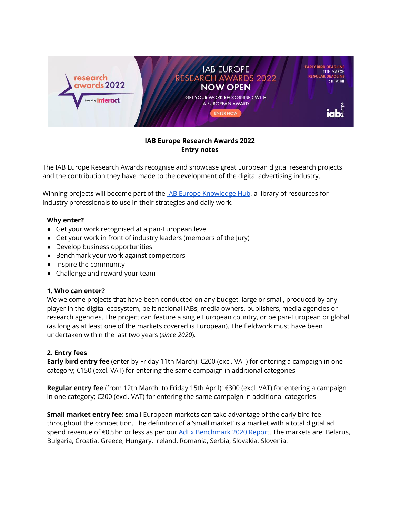

# **IAB Europe Research Awards 2022 Entry notes**

The IAB Europe Research Awards recognise and showcase great European digital research projects and the contribution they have made to the development of the digital advertising industry.

Winning projects will become part of the **IAB Europe [Knowledge](https://iabeurope.eu/the-knowledge-hub/) Hub**, a library of resources for industry professionals to use in their strategies and daily work.

## **Why enter?**

- Get your work recognised at a pan-European level
- Get your work in front of industry leaders (members of the Jury)
- Develop business opportunities
- Benchmark your work against competitors
- Inspire the community
- Challenge and reward your team

#### **1. Who can enter?**

We welcome projects that have been conducted on any budget, large or small, produced by any player in the digital ecosystem, be it national IABs, media owners, publishers, media agencies or research agencies. The project can feature a single European country, or be pan-European or global (as long as at least one of the markets covered is European). The fieldwork must have been undertaken within the last two years (*since 2020*).

## **2. Entry fees**

**Early bird entry fee** (enter by Friday 11th March): €200 (excl. VAT) for entering a campaign in one category; €150 (excl. VAT) for entering the same campaign in additional categories

**Regular entry fee** (from 12th March to Friday 15th April): €300 (excl. VAT) for entering a campaign in one category; €200 (excl. VAT) for entering the same campaign in additional categories

**Small market entry fee**: small European markets can take advantage of the early bird fee throughout the competition. The definition of a 'small market' is a market with a total digital ad spend revenue of €0.5bn or less as per our AdEx [Benchmark](https://iabeurope.eu/knowledge-hub/iab-europe-adex-benchmark-2020-report/) 2020 Report. The markets are: Belarus, Bulgaria, Croatia, Greece, Hungary, Ireland, Romania, Serbia, Slovakia, Slovenia.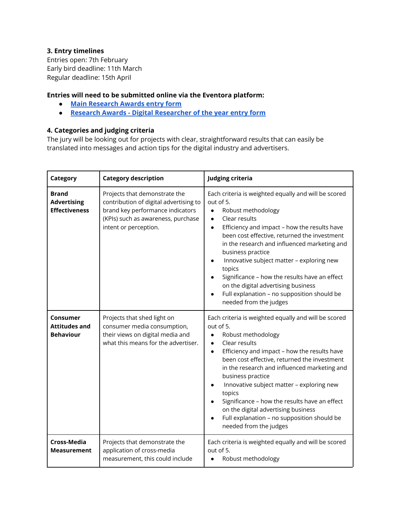# **3. Entry timelines**

Entries open: 7th February Early bird deadline: 11th March Regular deadline: 15th April

# **Entries will need to be submitted online via the Eventora platform:**

- **● Main [Research](https://www.eventora.com/en/Events/research-awards-europe-2022/Submissions/CreateInitial/aa3a4b08-23bd-4df0-bf05-813db1d0e3e6) Awards entry form**
- **● Research Awards - Digital [Researcher](https://www.eventora.com//en/Events/research-awards-europe-2022-person/Submissions/Create) of the year entry form**

## **4. Categories and judging criteria**

The jury will be looking out for projects with clear, straightforward results that can easily be translated into messages and action tips for the digital industry and advertisers.

| Category                                                   | <b>Category description</b>                                                                                                                                                | Judging criteria                                                                                                                                                                                                                                                                                                                                                                                                                                                                                                                             |
|------------------------------------------------------------|----------------------------------------------------------------------------------------------------------------------------------------------------------------------------|----------------------------------------------------------------------------------------------------------------------------------------------------------------------------------------------------------------------------------------------------------------------------------------------------------------------------------------------------------------------------------------------------------------------------------------------------------------------------------------------------------------------------------------------|
| <b>Brand</b><br><b>Advertising</b><br><b>Effectiveness</b> | Projects that demonstrate the<br>contribution of digital advertising to<br>brand key performance indicators<br>(KPIs) such as awareness, purchase<br>intent or perception. | Each criteria is weighted equally and will be scored<br>out of 5.<br>Robust methodology<br>$\bullet$<br>Clear results<br>$\bullet$<br>Efficiency and impact - how the results have<br>$\bullet$<br>been cost effective, returned the investment<br>in the research and influenced marketing and<br>business practice<br>Innovative subject matter - exploring new<br>topics<br>Significance - how the results have an effect<br>on the digital advertising business<br>Full explanation - no supposition should be<br>needed from the judges |
| Consumer<br><b>Attitudes and</b><br><b>Behaviour</b>       | Projects that shed light on<br>consumer media consumption,<br>their views on digital media and<br>what this means for the advertiser.                                      | Each criteria is weighted equally and will be scored<br>out of 5.<br>Robust methodology<br>Clear results<br>$\bullet$<br>Efficiency and impact - how the results have<br>$\bullet$<br>been cost effective, returned the investment<br>in the research and influenced marketing and<br>business practice<br>Innovative subject matter - exploring new<br>topics<br>Significance - how the results have an effect<br>on the digital advertising business<br>Full explanation - no supposition should be<br>needed from the judges              |
| <b>Cross-Media</b><br><b>Measurement</b>                   | Projects that demonstrate the<br>application of cross-media<br>measurement, this could include                                                                             | Each criteria is weighted equally and will be scored<br>out of 5.<br>Robust methodology<br>$\bullet$                                                                                                                                                                                                                                                                                                                                                                                                                                         |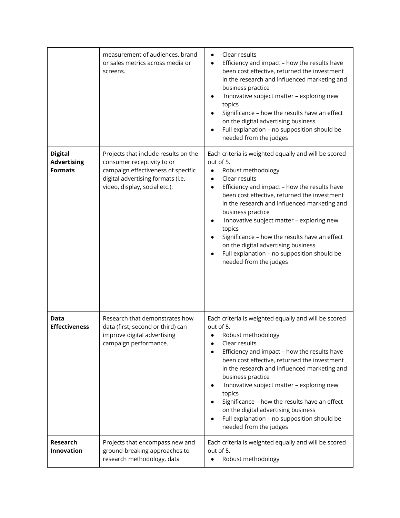|                                                        | measurement of audiences, brand<br>or sales metrics across media or<br>screens.                                                                                                | Clear results<br>Efficiency and impact - how the results have<br>been cost effective, returned the investment<br>in the research and influenced marketing and<br>business practice<br>Innovative subject matter - exploring new<br>topics<br>Significance - how the results have an effect<br>on the digital advertising business<br>Full explanation - no supposition should be<br>needed from the judges                                                                                                                      |
|--------------------------------------------------------|--------------------------------------------------------------------------------------------------------------------------------------------------------------------------------|---------------------------------------------------------------------------------------------------------------------------------------------------------------------------------------------------------------------------------------------------------------------------------------------------------------------------------------------------------------------------------------------------------------------------------------------------------------------------------------------------------------------------------|
| <b>Digital</b><br><b>Advertising</b><br><b>Formats</b> | Projects that include results on the<br>consumer receptivity to or<br>campaign effectiveness of specific<br>digital advertising formats (i.e.<br>video, display, social etc.). | Each criteria is weighted equally and will be scored<br>out of 5.<br>Robust methodology<br>$\bullet$<br>Clear results<br>$\bullet$<br>Efficiency and impact - how the results have<br>been cost effective, returned the investment<br>in the research and influenced marketing and<br>business practice<br>Innovative subject matter - exploring new<br>topics<br>Significance - how the results have an effect<br>on the digital advertising business<br>Full explanation - no supposition should be<br>needed from the judges |
| Data<br><b>Effectiveness</b>                           | Research that demonstrates how<br>data (first, second or third) can<br>improve digital advertising<br>campaign performance.                                                    | Each criteria is weighted equally and will be scored<br>out of 5.<br>Robust methodology<br>Clear results<br>Efficiency and impact - how the results have<br>been cost effective, returned the investment<br>in the research and influenced marketing and<br>business practice<br>Innovative subject matter - exploring new<br>topics<br>Significance - how the results have an effect<br>on the digital advertising business<br>Full explanation - no supposition should be<br>needed from the judges                           |
| Research<br>Innovation                                 | Projects that encompass new and<br>ground-breaking approaches to<br>research methodology, data                                                                                 | Each criteria is weighted equally and will be scored<br>out of 5.<br>Robust methodology                                                                                                                                                                                                                                                                                                                                                                                                                                         |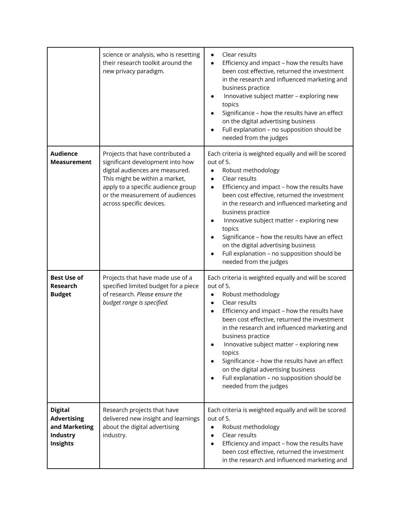|                                                                               | science or analysis, who is resetting<br>their research toolkit around the<br>new privacy paradigm.                                                                                                                                            | Clear results<br>$\bullet$<br>Efficiency and impact - how the results have<br>$\bullet$<br>been cost effective, returned the investment<br>in the research and influenced marketing and<br>business practice<br>Innovative subject matter - exploring new<br>topics<br>Significance - how the results have an effect<br>on the digital advertising business<br>Full explanation - no supposition should be<br>needed from the judges                                                                                                         |
|-------------------------------------------------------------------------------|------------------------------------------------------------------------------------------------------------------------------------------------------------------------------------------------------------------------------------------------|----------------------------------------------------------------------------------------------------------------------------------------------------------------------------------------------------------------------------------------------------------------------------------------------------------------------------------------------------------------------------------------------------------------------------------------------------------------------------------------------------------------------------------------------|
| <b>Audience</b><br><b>Measurement</b>                                         | Projects that have contributed a<br>significant development into how<br>digital audiences are measured.<br>This might be within a market,<br>apply to a specific audience group<br>or the measurement of audiences<br>across specific devices. | Each criteria is weighted equally and will be scored<br>out of 5.<br>Robust methodology<br>$\bullet$<br>Clear results<br>$\bullet$<br>Efficiency and impact - how the results have<br>$\bullet$<br>been cost effective, returned the investment<br>in the research and influenced marketing and<br>business practice<br>Innovative subject matter - exploring new<br>topics<br>Significance - how the results have an effect<br>on the digital advertising business<br>Full explanation - no supposition should be<br>needed from the judges |
| <b>Best Use of</b><br><b>Research</b><br><b>Budget</b>                        | Projects that have made use of a<br>specified limited budget for a piece<br>of research. Please ensure the<br>budget range is specified.                                                                                                       | Each criteria is weighted equally and will be scored<br>out of 5.<br>Robust methodology<br>Clear results<br>$\bullet$<br>Efficiency and impact - how the results have<br>$\bullet$<br>been cost effective, returned the investment<br>in the research and influenced marketing and<br>business practice<br>Innovative subject matter - exploring new<br>topics<br>Significance - how the results have an effect<br>on the digital advertising business<br>Full explanation - no supposition should be<br>needed from the judges              |
| <b>Digital</b><br><b>Advertising</b><br>and Marketing<br>Industry<br>Insights | Research projects that have<br>delivered new insight and learnings<br>about the digital advertising<br>industry.                                                                                                                               | Each criteria is weighted equally and will be scored<br>out of 5.<br>Robust methodology<br>$\bullet$<br>Clear results<br>$\bullet$<br>Efficiency and impact - how the results have<br>been cost effective, returned the investment<br>in the research and influenced marketing and                                                                                                                                                                                                                                                           |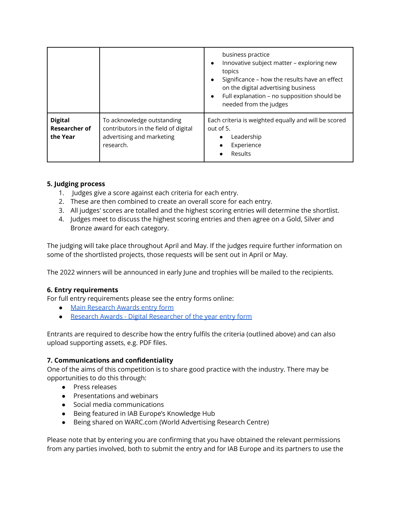|                                                    |                                                                                                              | business practice<br>Innovative subject matter - exploring new<br>$\bullet$<br>topics<br>Significance - how the results have an effect<br>$\bullet$<br>on the digital advertising business<br>Full explanation - no supposition should be<br>$\bullet$<br>needed from the judges |
|----------------------------------------------------|--------------------------------------------------------------------------------------------------------------|----------------------------------------------------------------------------------------------------------------------------------------------------------------------------------------------------------------------------------------------------------------------------------|
| <b>Digital</b><br><b>Researcher of</b><br>the Year | To acknowledge outstanding<br>contributors in the field of digital<br>advertising and marketing<br>research. | Each criteria is weighted equally and will be scored<br>out of 5.<br>Leadership<br>Experience<br>Results                                                                                                                                                                         |

## **5. Judging process**

- 1. Judges give a score against each criteria for each entry.
- 2. These are then combined to create an overall score for each entry.
- 3. All judges' scores are totalled and the highest scoring entries will determine the shortlist.
- 4. Judges meet to discuss the highest scoring entries and then agree on a Gold, Silver and Bronze award for each category.

The judging will take place throughout April and May. If the judges require further information on some of the shortlisted projects, those requests will be sent out in April or May.

The 2022 winners will be announced in early June and trophies will be mailed to the recipients.

# **6. Entry requirements**

For full entry requirements please see the entry forms online:

- Main [Research](https://www.eventora.com/en/Events/research-awards-europe-2022/Submissions/CreateInitial/67eff5af-a1f0-4e1d-8310-13baa9ced6e8) Awards entry form
- Research Awards Digital [Researcher](https://www.eventora.com/en/Events/research-awards-europe-2022-person/Submissions/CreateInitial/014c028f-9173-4beb-a388-2823f95d83e9) of the year entry form

Entrants are required to describe how the entry fulfils the criteria (outlined above) and can also upload supporting assets, e.g. PDF files.

## **7. Communications and confidentiality**

One of the aims of this competition is to share good practice with the industry. There may be opportunities to do this through:

- Press releases
- Presentations and webinars
- Social media communications
- Being featured in IAB Europe's Knowledge Hub
- Being shared on WARC.com (World Advertising Research Centre)

Please note that by entering you are confirming that you have obtained the relevant permissions from any parties involved, both to submit the entry and for IAB Europe and its partners to use the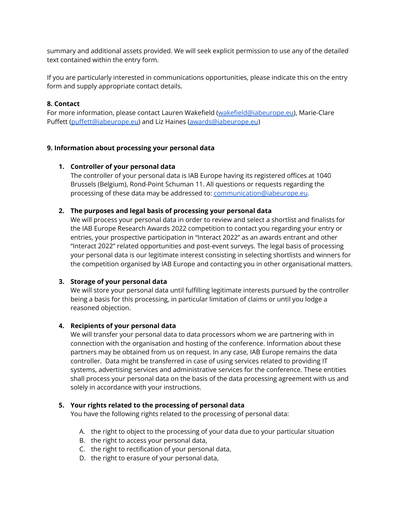summary and additional assets provided. We will seek explicit permission to use any of the detailed text contained within the entry form.

If you are particularly interested in communications opportunities, please indicate this on the entry form and supply appropriate contact details.

### **8. Contact**

For more information, please contact Lauren Wakefield [\(wakefield@iabeurope.eu\)](mailto:wakefield@iabeurope.eu), Marie-Clare Puffett [\(puffett@iabeurope.eu\)](mailto:puffett@iabeurope.eu) and Liz Haines [\(awards@iabeurope.eu](mailto:awards@iabeurope.eu))

### **9. Information about processing your personal data**

### **1. Controller of your personal data**

The controller of your personal data is IAB Europe having its registered offices at 1040 Brussels (Belgium), Rond-Point Schuman 11. All questions or requests regarding the processing of these data may be addressed to: [communication@iabeurope.eu](mailto:communication@iabeurope.eu).

### **2. The purposes and legal basis of processing your personal data**

We will process your personal data in order to review and select a shortlist and finalists for the IAB Europe Research Awards 2022 competition to contact you regarding your entry or entries, your prospective participation in "Interact 2022" as an awards entrant and other "Interact 2022" related opportunities and post-event surveys. The legal basis of processing your personal data is our legitimate interest consisting in selecting shortlists and winners for the competition organised by IAB Europe and contacting you in other organisational matters.

#### **3. Storage of your personal data**

We will store your personal data until fulfilling legitimate interests pursued by the controller being a basis for this processing, in particular limitation of claims or until you lodge a reasoned objection.

#### **4. Recipients of your personal data**

We will transfer your personal data to data processors whom we are partnering with in connection with the organisation and hosting of the conference. Information about these partners may be obtained from us on request. In any case, IAB Europe remains the data controller. Data might be transferred in case of using services related to providing IT systems, advertising services and administrative services for the conference. These entities shall process your personal data on the basis of the data processing agreement with us and solely in accordance with your instructions.

#### **5. Your rights related to the processing of personal data**

You have the following rights related to the processing of personal data:

- A. the right to object to the processing of your data due to your particular situation
- B. the right to access your personal data,
- C. the right to rectification of your personal data,
- D. the right to erasure of your personal data,